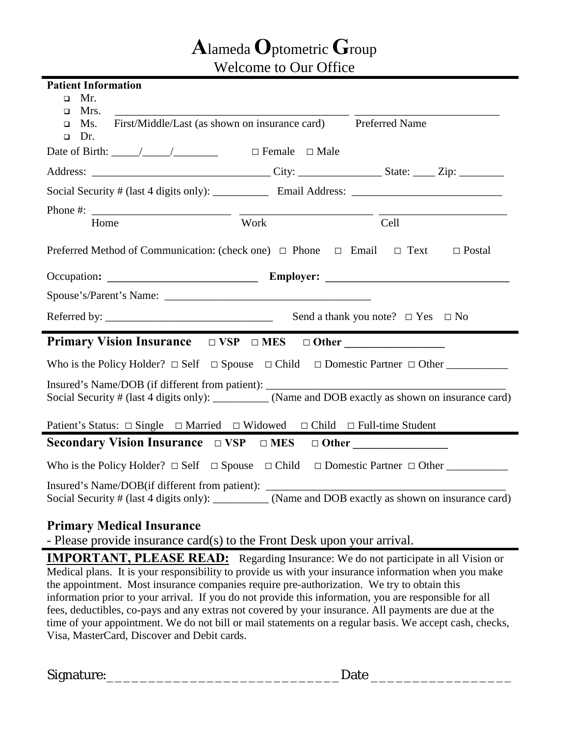## **A**lameda **O**ptometric **G**roup

Welcome to Our Office

| <b>Patient Information</b>                                                                                                                                                                                                                                            |                           |      |
|-----------------------------------------------------------------------------------------------------------------------------------------------------------------------------------------------------------------------------------------------------------------------|---------------------------|------|
| Mr.<br>$\Box$                                                                                                                                                                                                                                                         |                           |      |
| Mrs.<br>$\Box$                                                                                                                                                                                                                                                        |                           |      |
| First/Middle/Last (as shown on insurance card) Preferred Name<br>Ms.<br>$\Box$<br>Dr.<br>$\Box$                                                                                                                                                                       |                           |      |
| Date of Birth: $\frac{\sqrt{2}}{2}$                                                                                                                                                                                                                                   | $\Box$ Female $\Box$ Male |      |
|                                                                                                                                                                                                                                                                       |                           |      |
|                                                                                                                                                                                                                                                                       |                           |      |
|                                                                                                                                                                                                                                                                       |                           |      |
| Home                                                                                                                                                                                                                                                                  | Work                      | Cell |
| Preferred Method of Communication: (check one) $\Box$ Phone $\Box$ Email $\Box$ Text<br>$\Box$ Postal                                                                                                                                                                 |                           |      |
| Occupation: Employer: Employer:                                                                                                                                                                                                                                       |                           |      |
| Spouse's/Parent's Name:                                                                                                                                                                                                                                               |                           |      |
|                                                                                                                                                                                                                                                                       |                           |      |
| <b>Primary Vision Insurance</b> $\Box$ VSP $\Box$ MES $\Box$ Other                                                                                                                                                                                                    |                           |      |
| Who is the Policy Holder? $\Box$ Self $\Box$ Spouse $\Box$ Child $\Box$ Domestic Partner $\Box$ Other                                                                                                                                                                 |                           |      |
| Insured's Name/DOB (if different from patient): _________________________________<br>Social Security # (last 4 digits only): _________ (Name and DOB exactly as shown on insurance card)                                                                              |                           |      |
| Patient's Status: $\Box$ Single $\Box$ Married $\Box$ Widowed $\Box$ Child $\Box$ Full-time Student                                                                                                                                                                   |                           |      |
| <b>Secondary Vision Insurance</b> $\Box$ VSP $\Box$ MES $\Box$ Other                                                                                                                                                                                                  |                           |      |
| Who is the Policy Holder? $\Box$ Self $\Box$ Spouse $\Box$ Child $\Box$ Domestic Partner $\Box$ Other                                                                                                                                                                 |                           |      |
| Insured's Name/DOB(if different from patient): __________________________________<br>Social Security # (last 4 digits only): _________ (Name and DOB exactly as shown on insurance card)                                                                              |                           |      |
| $\mathbf{D}$ . The set of $\mathbf{M}$ is the set of $\mathbf{M}$ is the set of $\mathbf{M}$ is the set of $\mathbf{M}$ is the set of $\mathbf{M}$ is the set of $\mathbf{M}$ is the set of $\mathbf{M}$ is the set of $\mathbf{M}$ is the set of $\mathbf{M}$ is the |                           |      |

## **Primary Medical Insurance**

- Please provide insurance card(s) to the Front Desk upon your arrival.

**IMPORTANT, PLEASE READ:** Regarding Insurance: We do not participate in all Vision or Medical plans. It is your responsibility to provide us with your insurance information when you make the appointment. Most insurance companies require pre-authorization. We try to obtain this information prior to your arrival. If you do not provide this information, you are responsible for all fees, deductibles, co-pays and any extras not covered by your insurance. All payments are due at the time of your appointment. We do not bill or mail statements on a regular basis. We accept cash, checks, Visa, MasterCard, Discover and Debit cards.

Signature:\_\_\_\_\_\_\_\_\_\_\_\_\_\_\_\_\_\_\_\_\_\_\_\_\_\_\_\_Date \_\_\_\_\_\_\_\_\_\_\_\_\_\_\_\_\_